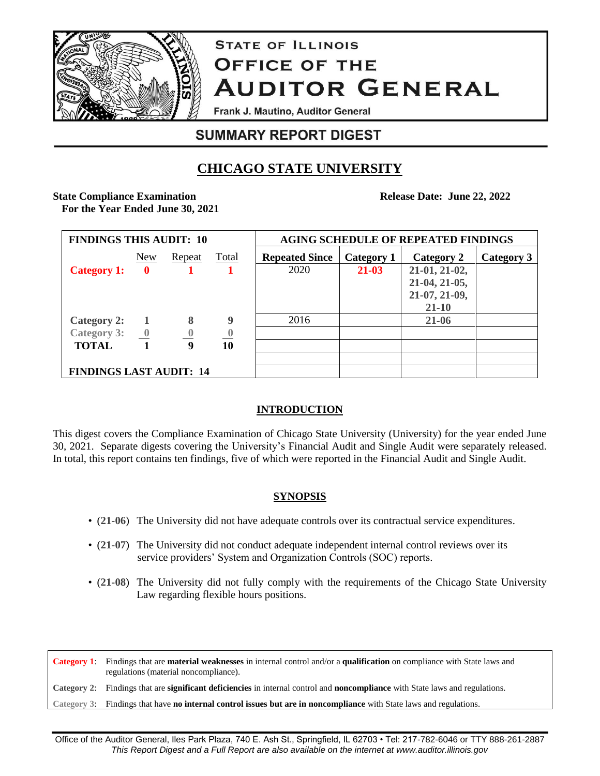

# **STATE OF ILLINOIS OFFICE OF THE AUDITOR GENERAL**

Frank J. Mautino, Auditor General

# **SUMMARY REPORT DIGEST**

# **CHICAGO STATE UNIVERSITY**

**State Compliance Examination For the Year Ended June 30, 2021** **Release Date: June 22, 2022**

| <b>FINDINGS THIS AUDIT: 10</b>             |              |                         |                          | <b>AGING SCHEDULE OF REPEATED FINDINGS</b> |            |               |            |  |
|--------------------------------------------|--------------|-------------------------|--------------------------|--------------------------------------------|------------|---------------|------------|--|
|                                            | New          | Repeat                  | <b>Total</b>             | <b>Repeated Since</b>                      | Category 1 | Category 2    | Category 3 |  |
| <b>Category 1:</b>                         | $\mathbf{0}$ |                         |                          | 2020                                       | $21 - 03$  | 21-01, 21-02, |            |  |
|                                            |              |                         |                          |                                            |            | 21-04, 21-05, |            |  |
|                                            |              |                         |                          |                                            |            | 21-07, 21-09, |            |  |
|                                            |              |                         |                          |                                            |            | $21 - 10$     |            |  |
| Category 2: 1                              |              | 8                       | 9                        | 2016                                       |            | $21 - 06$     |            |  |
| Category 3: $\underline{\qquad \qquad }$ 0 |              | $\overline{\mathbf{0}}$ | $\overline{\phantom{0}}$ |                                            |            |               |            |  |
| <b>TOTAL</b>                               | $\mathbf{1}$ | 9                       | 10                       |                                            |            |               |            |  |
|                                            |              |                         |                          |                                            |            |               |            |  |
| <b>FINDINGS LAST AUDIT: 14</b>             |              |                         |                          |                                            |            |               |            |  |

### **INTRODUCTION**

This digest covers the Compliance Examination of Chicago State University (University) for the year ended June 30, 2021. Separate digests covering the University's Financial Audit and Single Audit were separately released. In total, this report contains ten findings, five of which were reported in the Financial Audit and Single Audit.

## **SYNOPSIS**

- (**21-06**) The University did not have adequate controls over its contractual service expenditures.
- (**21-07**) The University did not conduct adequate independent internal control reviews over its service providers' System and Organization Controls (SOC) reports.
- (**21-08**) The University did not fully comply with the requirements of the Chicago State University Law regarding flexible hours positions.

**Category 1**: Findings that are **material weaknesses** in internal control and/or a **qualification** on compliance with State laws and regulations (material noncompliance). **Category 2**: Findings that are **significant deficiencies** in internal control and **noncompliance** with State laws and regulations. **Category 3**: Findings that have **no internal control issues but are in noncompliance** with State laws and regulations.

Office of the Auditor General, Iles Park Plaza, 740 E. Ash St., Springfield, IL 62703 • Tel: 217-782-6046 or TTY 888-261-2887 *This Report Digest and a Full Report are also available on the internet at www.auditor.illinois.gov*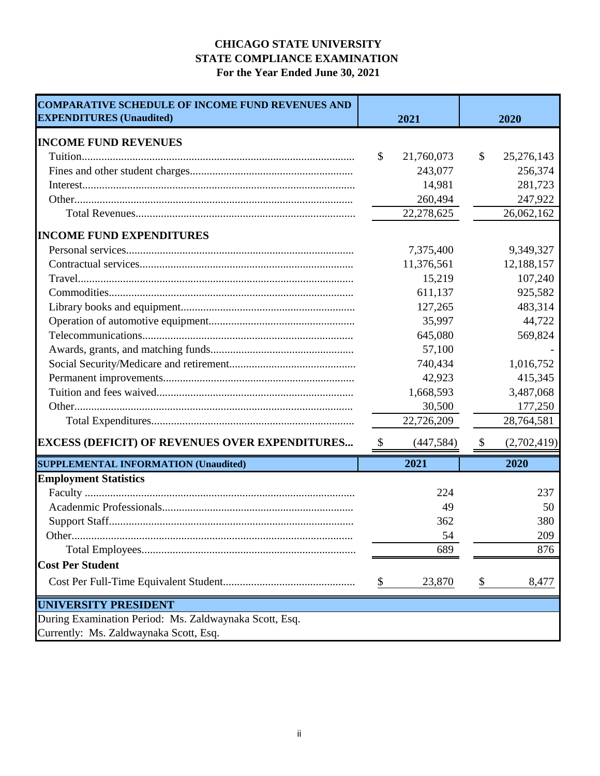### **CHICAGO STATE UNIVERSITY STATE COMPLIANCE EXAMINATION For the Year Ended June 30, 2021**

| <b>COMPARATIVE SCHEDULE OF INCOME FUND REVENUES AND</b><br><b>EXPENDITURES (Unaudited)</b> | 2021                      |            | 2020          |             |
|--------------------------------------------------------------------------------------------|---------------------------|------------|---------------|-------------|
| <b>INCOME FUND REVENUES</b>                                                                |                           |            |               |             |
|                                                                                            | $\mathcal{S}$             | 21,760,073 | \$            | 25,276,143  |
|                                                                                            |                           | 243,077    |               | 256,374     |
|                                                                                            |                           | 14,981     |               | 281,723     |
|                                                                                            |                           | 260,494    |               | 247,922     |
|                                                                                            |                           | 22,278,625 |               | 26,062,162  |
| <b>INCOME FUND EXPENDITURES</b>                                                            |                           |            |               |             |
|                                                                                            |                           | 7,375,400  |               | 9,349,327   |
|                                                                                            |                           | 11,376,561 |               | 12,188,157  |
|                                                                                            |                           | 15,219     |               | 107,240     |
|                                                                                            |                           | 611,137    |               | 925,582     |
|                                                                                            |                           | 127,265    |               | 483,314     |
|                                                                                            |                           | 35,997     |               | 44,722      |
|                                                                                            |                           | 645,080    |               | 569,824     |
|                                                                                            |                           | 57,100     |               |             |
|                                                                                            |                           | 740,434    |               | 1,016,752   |
|                                                                                            |                           | 42,923     |               | 415,345     |
|                                                                                            |                           | 1,668,593  |               | 3,487,068   |
|                                                                                            |                           | 30,500     |               | 177,250     |
|                                                                                            |                           | 22,726,209 |               | 28,764,581  |
| <b>EXCESS (DEFICIT) OF REVENUES OVER EXPENDITURES</b>                                      | $\boldsymbol{\mathsf{S}}$ | (447, 584) | $\mathcal{S}$ | (2,702,419) |
| <b>SUPPLEMENTAL INFORMATION (Unaudited)</b>                                                |                           | 2021       |               | 2020        |
| <b>Employment Statistics</b>                                                               |                           |            |               |             |
|                                                                                            |                           | 224        |               | 237         |
|                                                                                            |                           | 49         |               | 50          |
|                                                                                            |                           | 362        |               | 380         |
|                                                                                            |                           | 54         |               | 209         |
|                                                                                            |                           | 689        |               | 876         |
| <b>Cost Per Student</b>                                                                    |                           |            |               |             |
|                                                                                            | \$                        | 23,870     | \$            | 8,477       |
| <b>UNIVERSITY PRESIDENT</b>                                                                |                           |            |               |             |
| During Examination Period: Ms. Zaldwaynaka Scott, Esq.                                     |                           |            |               |             |
| Currently: Ms. Zaldwaynaka Scott, Esq.                                                     |                           |            |               |             |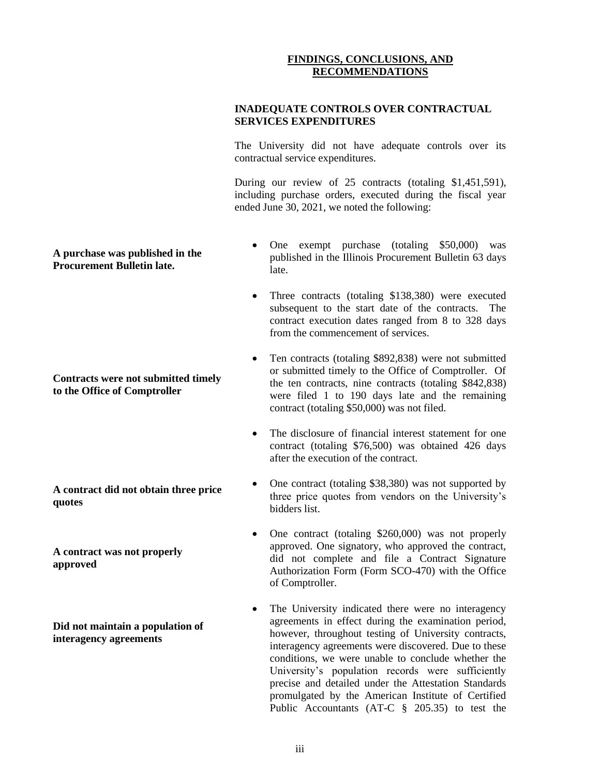#### **FINDINGS, CONCLUSIONS, AND RECOMMENDATIONS**

#### **INADEQUATE CONTROLS OVER CONTRACTUAL SERVICES EXPENDITURES**

The University did not have adequate controls over its contractual service expenditures.

During our review of 25 contracts (totaling \$1,451,591), including purchase orders, executed during the fiscal year ended June 30, 2021, we noted the following:

- One exempt purchase (totaling \$50,000) was published in the Illinois Procurement Bulletin 63 days late.
- Three contracts (totaling \$138,380) were executed subsequent to the start date of the contracts. The contract execution dates ranged from 8 to 328 days from the commencement of services.
- Ten contracts (totaling \$892,838) were not submitted or submitted timely to the Office of Comptroller. Of the ten contracts, nine contracts (totaling \$842,838) were filed 1 to 190 days late and the remaining contract (totaling \$50,000) was not filed.
- The disclosure of financial interest statement for one contract (totaling \$76,500) was obtained 426 days after the execution of the contract.
- One contract (totaling \$38,380) was not supported by three price quotes from vendors on the University's bidders list.
- One contract (totaling \$260,000) was not properly approved. One signatory, who approved the contract, did not complete and file a Contract Signature Authorization Form (Form SCO-470) with the Office of Comptroller.
- The University indicated there were no interagency agreements in effect during the examination period, however, throughout testing of University contracts, interagency agreements were discovered. Due to these conditions, we were unable to conclude whether the University's population records were sufficiently precise and detailed under the Attestation Standards promulgated by the American Institute of Certified Public Accountants (AT-C § 205.35) to test the

#### **A purchase was published in the Procurement Bulletin late.**

**Contracts were not submitted timely to the Office of Comptroller** 

**A contract did not obtain three price quotes**

**A contract was not properly approved**

**Did not maintain a population of interagency agreements**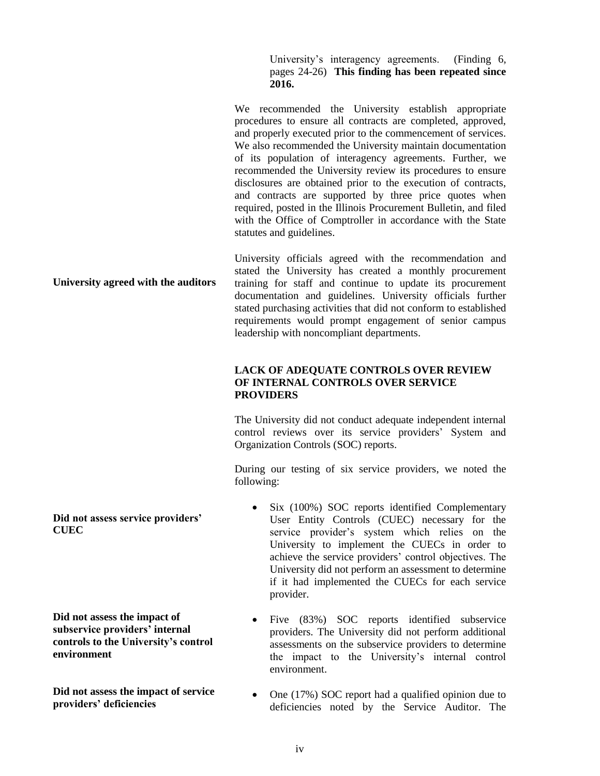University's interagency agreements. (Finding 6, pages 24-26) **This finding has been repeated since 2016.** 

**University agreed with the auditors** We recommended the University establish appropriate procedures to ensure all contracts are completed, approved, and properly executed prior to the commencement of services. We also recommended the University maintain documentation of its population of interagency agreements. Further, we recommended the University review its procedures to ensure disclosures are obtained prior to the execution of contracts, and contracts are supported by three price quotes when required, posted in the Illinois Procurement Bulletin, and filed with the Office of Comptroller in accordance with the State statutes and guidelines. University officials agreed with the recommendation and stated the University has created a monthly procurement training for staff and continue to update its procurement documentation and guidelines. University officials further stated purchasing activities that did not conform to established requirements would prompt engagement of senior campus leadership with noncompliant departments. **LACK OF ADEQUATE CONTROLS OVER REVIEW OF INTERNAL CONTROLS OVER SERVICE PROVIDERS**  The University did not conduct adequate independent internal control reviews over its service providers' System and Organization Controls (SOC) reports.

> During our testing of six service providers, we noted the following:

- Six (100%) SOC reports identified Complementary User Entity Controls (CUEC) necessary for the service provider's system which relies on the University to implement the CUECs in order to achieve the service providers' control objectives. The University did not perform an assessment to determine if it had implemented the CUECs for each service provider.
- Five (83%) SOC reports identified subservice providers. The University did not perform additional assessments on the subservice providers to determine the impact to the University's internal control environment.
- One (17%) SOC report had a qualified opinion due to deficiencies noted by the Service Auditor. The

**Did not assess service providers' CUEC**

**Did not assess the impact of subservice providers' internal controls to the University's control environment**

**Did not assess the impact of service providers' deficiencies**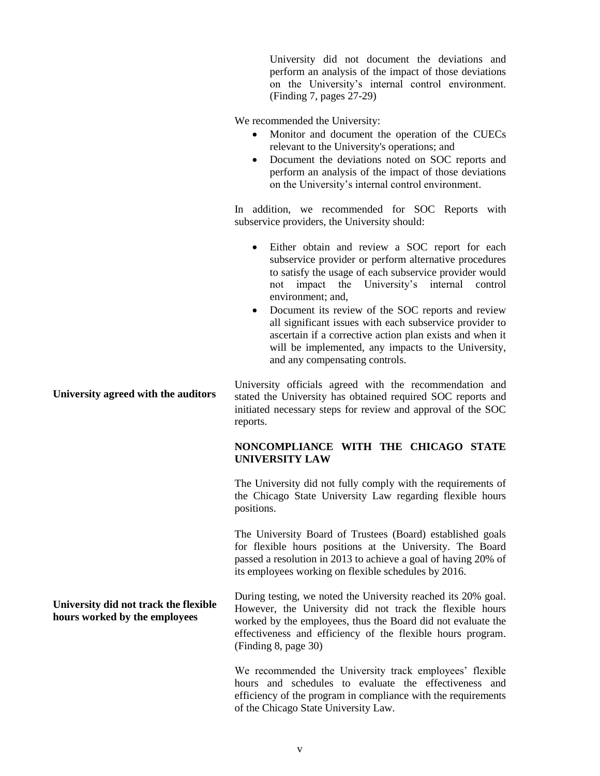University did not document the deviations and perform an analysis of the impact of those deviations on the University's internal control environment. (Finding 7, pages 27-29)

We recommended the University:

- Monitor and document the operation of the CUECs relevant to the University's operations; and
- Document the deviations noted on SOC reports and perform an analysis of the impact of those deviations on the University's internal control environment.

In addition, we recommended for SOC Reports with subservice providers, the University should:

- Either obtain and review a SOC report for each subservice provider or perform alternative procedures to satisfy the usage of each subservice provider would not impact the University's internal control environment; and,
- Document its review of the SOC reports and review all significant issues with each subservice provider to ascertain if a corrective action plan exists and when it will be implemented, any impacts to the University, and any compensating controls.

**University agreed with the auditors** University officials agreed with the recommendation and stated the University has obtained required SOC reports and initiated necessary steps for review and approval of the SOC reports.

#### **NONCOMPLIANCE WITH THE CHICAGO STATE UNIVERSITY LAW**

The University did not fully comply with the requirements of the Chicago State University Law regarding flexible hours positions.

The University Board of Trustees (Board) established goals for flexible hours positions at the University. The Board passed a resolution in 2013 to achieve a goal of having 20% of its employees working on flexible schedules by 2016.

During testing, we noted the University reached its 20% goal. However, the University did not track the flexible hours worked by the employees, thus the Board did not evaluate the effectiveness and efficiency of the flexible hours program. (Finding 8, page 30)

We recommended the University track employees' flexible hours and schedules to evaluate the effectiveness and efficiency of the program in compliance with the requirements of the Chicago State University Law.

**University did not track the flexible hours worked by the employees**